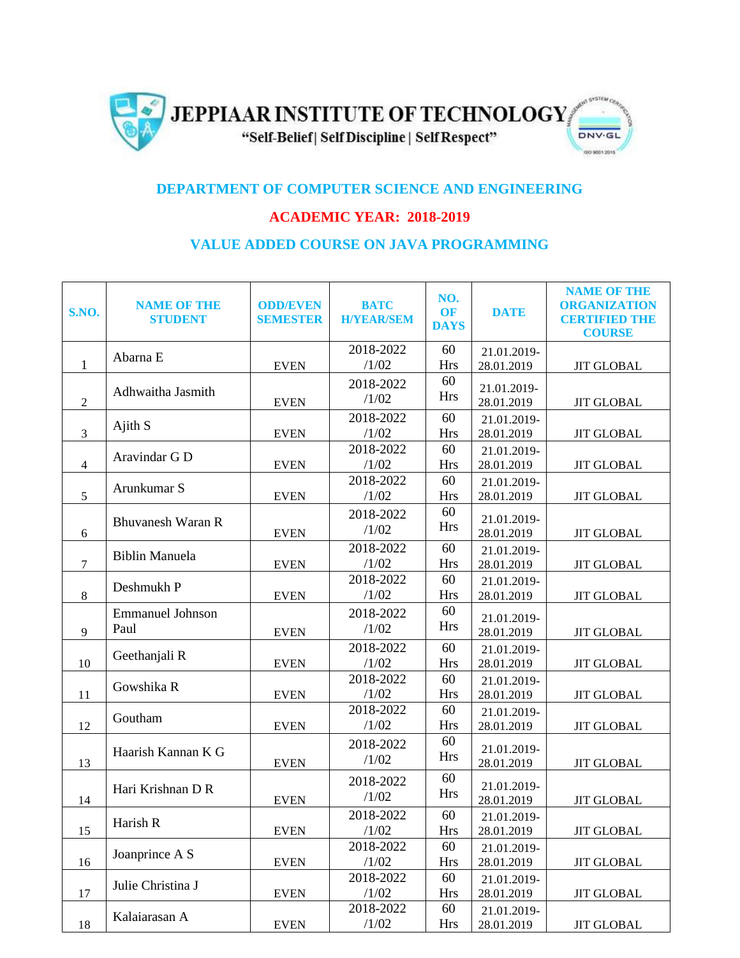

## **DEPARTMENT OF COMPUTER SCIENCE AND ENGINEERING**

## **ACADEMIC YEAR: 2018-2019**

## **VALUE ADDED COURSE ON JAVA PROGRAMMING**

| S.NO.            | <b>NAME OF THE</b><br><b>STUDENT</b> | <b>ODD/EVEN</b><br><b>SEMESTER</b> | <b>BATC</b><br><b>H/YEAR/SEM</b> | NO.<br><b>OF</b><br><b>DAYS</b> | <b>DATE</b>               | <b>NAME OF THE</b><br><b>ORGANIZATION</b><br><b>CERTIFIED THE</b><br><b>COURSE</b> |
|------------------|--------------------------------------|------------------------------------|----------------------------------|---------------------------------|---------------------------|------------------------------------------------------------------------------------|
| $\mathbf{1}$     | Abarna E                             | <b>EVEN</b>                        | 2018-2022<br>/1/02               | 60<br><b>Hrs</b>                | 21.01.2019-<br>28.01.2019 | <b>JIT GLOBAL</b>                                                                  |
|                  |                                      |                                    |                                  |                                 |                           |                                                                                    |
| $\sqrt{2}$       | Adhwaitha Jasmith                    | <b>EVEN</b>                        | 2018-2022<br>/1/02               | 60<br><b>Hrs</b>                | 21.01.2019-<br>28.01.2019 | <b>JIT GLOBAL</b>                                                                  |
|                  |                                      |                                    | 2018-2022                        | 60                              | 21.01.2019-               |                                                                                    |
| $\mathfrak{Z}$   | Ajith S                              | <b>EVEN</b>                        | /1/02                            | <b>Hrs</b>                      | 28.01.2019                | <b>JIT GLOBAL</b>                                                                  |
|                  | Aravindar G D                        |                                    | 2018-2022                        | 60                              | 21.01.2019-               |                                                                                    |
| $\overline{4}$   |                                      | <b>EVEN</b>                        | /1/02                            | <b>Hrs</b>                      | 28.01.2019                | <b>JIT GLOBAL</b>                                                                  |
|                  | Arunkumar S                          |                                    | 2018-2022                        | 60                              | 21.01.2019-               |                                                                                    |
| 5                |                                      | <b>EVEN</b>                        | /1/02                            | <b>Hrs</b>                      | 28.01.2019                | <b>JIT GLOBAL</b>                                                                  |
|                  |                                      |                                    | 2018-2022                        | 60                              |                           |                                                                                    |
|                  | <b>Bhuvanesh Waran R</b>             |                                    | /1/02                            | <b>Hrs</b>                      | 21.01.2019-               |                                                                                    |
| 6                |                                      | <b>EVEN</b>                        |                                  |                                 | 28.01.2019                | <b>JIT GLOBAL</b>                                                                  |
|                  | <b>Biblin Manuela</b>                |                                    | 2018-2022                        | 60                              | 21.01.2019-               |                                                                                    |
| $\boldsymbol{7}$ |                                      | <b>EVEN</b>                        | /1/02                            | <b>Hrs</b>                      | 28.01.2019                | <b>JIT GLOBAL</b>                                                                  |
|                  | Deshmukh P                           |                                    | 2018-2022                        | 60                              | 21.01.2019-               |                                                                                    |
| 8                |                                      | <b>EVEN</b>                        | /1/02                            | <b>Hrs</b>                      | 28.01.2019                | <b>JIT GLOBAL</b>                                                                  |
|                  | <b>Emmanuel Johnson</b>              |                                    | 2018-2022                        | 60                              | 21.01.2019-               |                                                                                    |
| 9                | Paul                                 | <b>EVEN</b>                        | /1/02                            | <b>Hrs</b>                      | 28.01.2019                | <b>JIT GLOBAL</b>                                                                  |
|                  |                                      |                                    | 2018-2022                        | 60                              | 21.01.2019-               |                                                                                    |
| 10               | Geethanjali R                        | <b>EVEN</b>                        | /1/02                            | <b>Hrs</b>                      | 28.01.2019                | <b>JIT GLOBAL</b>                                                                  |
|                  | Gowshika R                           |                                    | 2018-2022                        | 60                              | 21.01.2019-               |                                                                                    |
| 11               |                                      | <b>EVEN</b>                        | /1/02                            | <b>Hrs</b>                      | 28.01.2019                | <b>JIT GLOBAL</b>                                                                  |
|                  |                                      |                                    | 2018-2022                        | 60                              |                           |                                                                                    |
| 12               | Goutham                              | <b>EVEN</b>                        | /1/02                            | <b>Hrs</b>                      | 21.01.2019-<br>28.01.2019 | <b>JIT GLOBAL</b>                                                                  |
|                  |                                      |                                    |                                  | 60                              |                           |                                                                                    |
| 13               | Haarish Kannan K G                   |                                    | 2018-2022                        |                                 | 21.01.2019-               |                                                                                    |
|                  |                                      | <b>EVEN</b>                        | /1/02                            | <b>Hrs</b>                      | 28.01.2019                | <b>JIT GLOBAL</b>                                                                  |
|                  |                                      |                                    | 2018-2022                        | 60                              | 21.01.2019-               |                                                                                    |
| 14               | Hari Krishnan D R                    | <b>EVEN</b>                        | /1/02                            | <b>Hrs</b>                      | 28.01.2019                | <b>JIT GLOBAL</b>                                                                  |
|                  |                                      |                                    | 2018-2022                        | 60                              |                           |                                                                                    |
|                  | Harish R                             |                                    | /1/02                            |                                 | 21.01.2019-               |                                                                                    |
| 15               |                                      | <b>EVEN</b>                        |                                  | <b>Hrs</b>                      | 28.01.2019                | <b>JIT GLOBAL</b>                                                                  |
|                  | Joanprince A S                       |                                    | 2018-2022                        | 60                              | 21.01.2019-               |                                                                                    |
| 16               |                                      | <b>EVEN</b>                        | /1/02                            | <b>Hrs</b>                      | 28.01.2019                | <b>JIT GLOBAL</b>                                                                  |
|                  | Julie Christina J                    |                                    | 2018-2022                        | 60                              | 21.01.2019-               |                                                                                    |
| 17               |                                      | <b>EVEN</b>                        | /1/02                            | <b>Hrs</b>                      | 28.01.2019                | <b>JIT GLOBAL</b>                                                                  |
|                  | Kalaiarasan A                        |                                    | 2018-2022                        | 60                              | 21.01.2019-               |                                                                                    |
| 18               |                                      | <b>EVEN</b>                        | /1/02                            | <b>Hrs</b>                      | 28.01.2019                | $\rm JIT$ $\rm GLOBAL$                                                             |